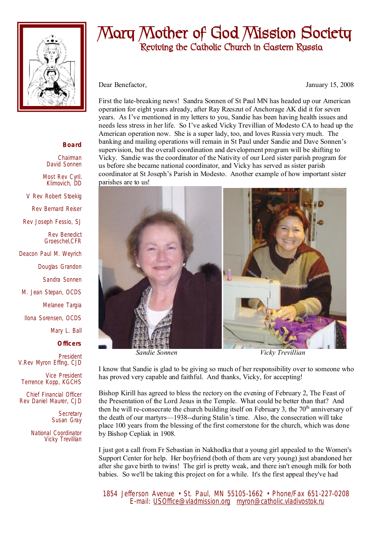

## **Mary Mother of God Mission Society Reviving the Catholic Church in Eastern Russia**

Dear Benefactor, January 15, 2008

First the late-breaking news! Sandra Sonnen of St Paul MN has headed up our American operation for eight years already, after Ray Rzeszut of Anchorage AK did it for seven years. As I've mentioned in my letters to you, Sandie has been having health issues and needs less stress in her life. So I've asked Vicky Trevillian of Modesto CA to head up the American operation now. She is a super lady, too, and loves Russia very much. The banking and mailing operations will remain in St Paul under Sandie and Dave Sonnen's supervision, but the overall coordination and development program will be shifting to Vicky. Sandie was the coordinator of the Nativity of our Lord sister parish program for us before she became national coordinator, and Vicky has served as sister parish coordinator at St Joseph's Parish in Modesto. Another example of how important sister parishes are to us!



 *Sandie Sonnen Vicky Trevillian* 

I know that Sandie is glad to be giving so much of her responsibility over to someone who has proved very capable and faithful. And thanks, Vicky, for accepting!

Bishop Kirill has agreed to bless the rectory on the evening of February 2, The Feast of the Presentation of the Lord Jesus in the Temple. What could be better than that? And then he will re-consecrate the church building itself on February 3, the  $70<sup>th</sup>$  anniversary of the death of our martyrs—1938--during Stalin's time. Also, the consecration will take place 100 years from the blessing of the first cornerstone for the church, which was done by Bishop Cepliak in 1908.

I just got a call from Fr Sebastian in Nakhodka that a young girl appealed to the Women's Support Center for help. Her boyfriend (both of them are very young) just abandoned her after she gave birth to twins! The girl is pretty weak, and there isn't enough milk for both babies. So we'll be taking this project on for a while. It's the first appeal they've had

 1854 Jefferson Avenue • St. Paul, MN 55105-1662 • Phone/Fax 651-227-0208 E-mail: [USOffice@vladmission.org](mailto:USOffice@vladmission.org) [myron@catholic.vladivostok.ru](mailto:myron@catholic.vladivostok.ru)

## **Board**

Chairman David Sonnen

Most Rev Cyril. Klimovich, DD

V Rev Robert Stoekig

Rev Bernard Reiser

Rev Joseph Fessio, SJ

Rev Benedict Groeschel,CFR

Deacon Paul M. Weyrich

Douglas Grandon

Sandra Sonnen

M. Jean Stepan, OCDS

Melanee Targia

Ilona Sorensen, OCDS

Mary L. Ball

**Officers**

President V.Rev Myron Effing, CJD

Vice President Terrence Kopp, KGCHS

Chief Financial Officer Rev Daniel Maurer, CJD

> **Secretary** Susan Gray

National Coordinator Vicky Trevillian